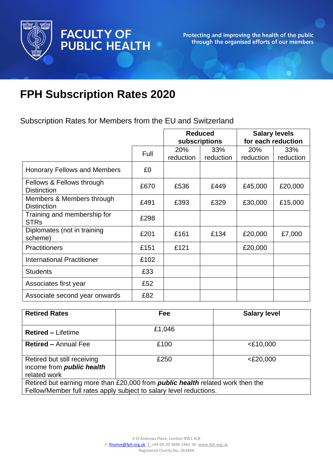

Protecting and improving the health of the public<br>through the organised efforts of our members

# **FPH Subscription Rates 2020**

FACULTY OF<br>PUBLIC HEALTH

Subscription Rates for Members from the EU and Switzerland

|                                                 |      | <b>Reduced</b> |           | <b>Salary levels</b><br>for each reduction |           |
|-------------------------------------------------|------|----------------|-----------|--------------------------------------------|-----------|
|                                                 |      | subscriptions  |           |                                            |           |
|                                                 | Full | 20%            | 33%       | 20%                                        | 33%       |
|                                                 |      | reduction      | reduction | reduction                                  | reduction |
| <b>Honorary Fellows and Members</b>             | £0   |                |           |                                            |           |
| Fellows & Fellows through                       | £670 | £536           | £449      | £45,000                                    | £20,000   |
| <b>Distinction</b>                              |      |                |           |                                            |           |
| Members & Members through<br><b>Distinction</b> | £491 | £393           | £329      | £30,000                                    | £15,000   |
| Training and membership for<br><b>STRs</b>      | £298 |                |           |                                            |           |
| Diplomates (not in training<br>scheme)          | £201 | £161           | £134      | £20,000                                    | £7,000    |
| <b>Practitioners</b>                            | £151 | £121           |           | £20,000                                    |           |
| <b>International Practitioner</b>               | £102 |                |           |                                            |           |
| <b>Students</b>                                 | £33  |                |           |                                            |           |
| Associates first year                           | £52  |                |           |                                            |           |
| Associate second year onwards                   | £82  |                |           |                                            |           |

| <b>Retired Rates</b>                                                                                                                                        | <b>Fee</b> | <b>Salary level</b> |  |  |
|-------------------------------------------------------------------------------------------------------------------------------------------------------------|------------|---------------------|--|--|
| <b>Retired - Lifetime</b>                                                                                                                                   | £1,046     |                     |  |  |
| <b>Retired - Annual Fee</b>                                                                                                                                 | £100       | $<$ £10,000         |  |  |
| Retired but still receiving<br>income from <i>public</i> health<br>related work                                                                             | £250       | $<$ £20,000         |  |  |
| Retired but earning more than £20,000 from <i>public health</i> related work then the<br>Fellow/Member full rates apply subject to salary level reductions. |            |                     |  |  |